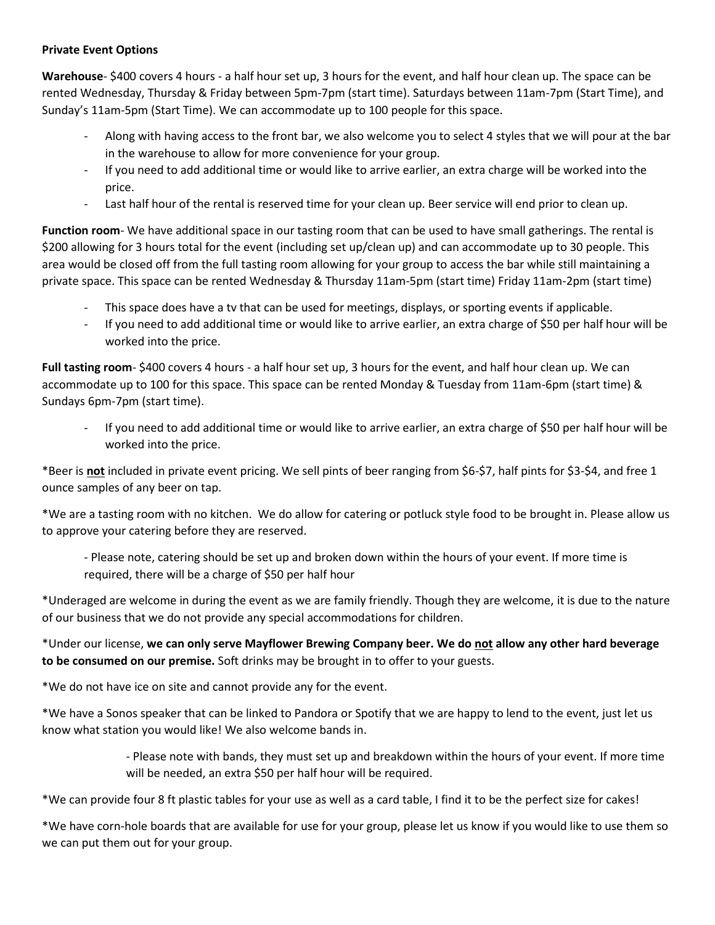## **Private Event Options**

**Warehouse**- \$400 covers 4 hours - a half hour set up, 3 hours for the event, and half hour clean up. The space can be rented Wednesday, Thursday & Friday between 5pm-7pm (start time). Saturdays between 11am-7pm (Start Time), and Sunday's 11am-5pm (Start Time). We can accommodate up to 100 people for this space.

- Along with having access to the front bar, we also welcome you to select 4 styles that we will pour at the bar in the warehouse to allow for more convenience for your group.
- If you need to add additional time or would like to arrive earlier, an extra charge will be worked into the price.
- Last half hour of the rental is reserved time for your clean up. Beer service will end prior to clean up.

**Function room**- We have additional space in our tasting room that can be used to have small gatherings. The rental is \$200 allowing for 3 hours total for the event (including set up/clean up) and can accommodate up to 30 people. This area would be closed off from the full tasting room allowing for your group to access the bar while still maintaining a private space. This space can be rented Wednesday & Thursday 11am-5pm (start time) Friday 11am-2pm (start time)

- This space does have a tv that can be used for meetings, displays, or sporting events if applicable.
- If you need to add additional time or would like to arrive earlier, an extra charge of \$50 per half hour will be worked into the price.

**Full tasting room**- \$400 covers 4 hours - a half hour set up, 3 hours for the event, and half hour clean up. We can accommodate up to 100 for this space. This space can be rented Monday & Tuesday from 11am-6pm (start time) & Sundays 6pm-7pm (start time).

If you need to add additional time or would like to arrive earlier, an extra charge of \$50 per half hour will be worked into the price.

\*Beer is **not** included in private event pricing. We sell pints of beer ranging from \$6-\$7, half pints for \$3-\$4, and free 1 ounce samples of any beer on tap.

\*We are a tasting room with no kitchen. We do allow for catering or potluck style food to be brought in. Please allow us to approve your catering before they are reserved.

- Please note, catering should be set up and broken down within the hours of your event. If more time is required, there will be a charge of \$50 per half hour

\*Underaged are welcome in during the event as we are family friendly. Though they are welcome, it is due to the nature of our business that we do not provide any special accommodations for children.

\*Under our license, **we can only serve Mayflower Brewing Company beer. We do not allow any other hard beverage to be consumed on our premise.** Soft drinks may be brought in to offer to your guests.

\*We do not have ice on site and cannot provide any for the event.

\*We have a Sonos speaker that can be linked to Pandora or Spotify that we are happy to lend to the event, just let us know what station you would like! We also welcome bands in.

> - Please note with bands, they must set up and breakdown within the hours of your event. If more time will be needed, an extra \$50 per half hour will be required.

\*We can provide four 8 ft plastic tables for your use as well as a card table, I find it to be the perfect size for cakes!

\*We have corn-hole boards that are available for use for your group, please let us know if you would like to use them so we can put them out for your group.